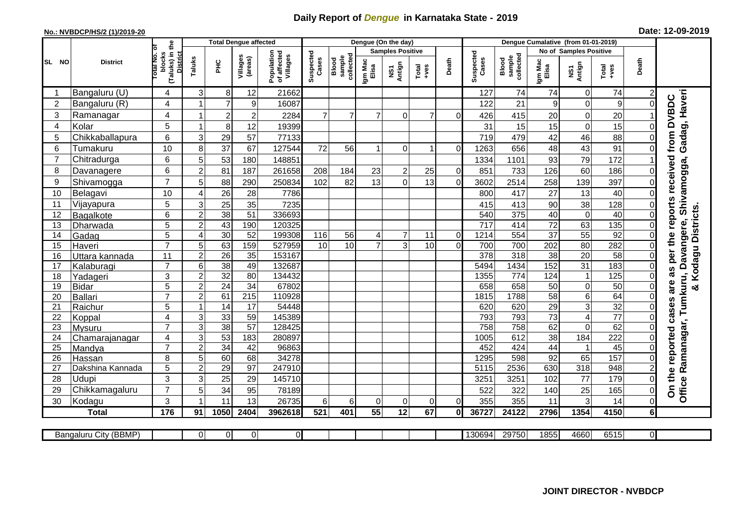## **Daily Report of** *Dengue* **in Karnataka State - 2019**

## **No.: NVBDCP/HS/2 (1)/2019-20 Date: 12-09-2019**

| <b>Total Dengue affected</b> |                       |                                                             |                         |                 |                     |                                       |                    |                              | Dengue (On the day)  |                         |                                                              |                |                    |                              |                        |                         |                  |          |                                                                               |
|------------------------------|-----------------------|-------------------------------------------------------------|-------------------------|-----------------|---------------------|---------------------------------------|--------------------|------------------------------|----------------------|-------------------------|--------------------------------------------------------------|----------------|--------------------|------------------------------|------------------------|-------------------------|------------------|----------|-------------------------------------------------------------------------------|
|                              |                       |                                                             |                         |                 |                     |                                       |                    |                              |                      | <b>Samples Positive</b> |                                                              |                |                    |                              | No of Samples Positive |                         |                  |          |                                                                               |
| SL NO                        | <b>District</b>       | (Taluks) in the<br>otal No. of<br>blocks<br><b>District</b> | Taluks                  | Ξ               | Villages<br>(areas) | Population<br>of affected<br>Villages | Suspected<br>Cases | sample<br>collected<br>Blood | Igm Mac<br>Elisa     | NS1<br>Antign           | $\begin{array}{c}\n\text{Total} \\ \text{Area}\n\end{array}$ | Death          | Suspected<br>Cases | sample<br>collected<br>Blood | Igm Mac<br>Elisa       | NS1<br>Antign           | $Tota$<br>$+ves$ | Death    |                                                                               |
| -1                           | Bangaluru (U)         | 4                                                           | 3                       | 8 <sup>1</sup>  | 12                  | 21662                                 |                    |                              |                      |                         |                                                              |                | 127                | 74                           | 74                     | $\mathbf 0$             | 74               | 2        |                                                                               |
| $\overline{2}$               | Bangaluru (R)         | 4                                                           | 1                       | $\overline{7}$  | 9                   | 16087                                 |                    |                              |                      |                         |                                                              |                | 122                | 21                           | 9                      | $\mathbf 0$             | $\boldsymbol{9}$ | $\Omega$ |                                                                               |
| 3                            | Ramanagar             | 4                                                           | $\overline{\mathbf{1}}$ | $\sqrt{2}$      | $\overline{2}$      | 2284                                  | $\overline{7}$     | $\overline{7}$               | $\overline{7}$       | $\Omega$                | 7                                                            | $\Omega$       | 426                | 415                          | 20                     | 0                       | 20               |          | Gadag, Haveri<br>from DVBDC                                                   |
| 4                            | Kolar                 | 5                                                           | -1                      | 8 <sup>1</sup>  | 12                  | 19399                                 |                    |                              |                      |                         |                                                              |                | 31                 | 15                           | 15                     | $\mathbf 0$             | 15               | $\Omega$ |                                                                               |
| 5                            | Chikkaballapura       | 6                                                           | $\mathbf{3}$            | 29              | 57                  | 77133                                 |                    |                              |                      |                         |                                                              |                | 719                | 479                          | 42                     | 46                      | 88               | $\Omega$ |                                                                               |
| 6                            | Tumakuru              | 10                                                          | 8                       | 37              | 67                  | 127544                                | 72                 | 56                           | $\blacktriangleleft$ | $\Omega$                |                                                              | $\Omega$       | 1263               | 656                          | 48                     | 43                      | 91               | $\Omega$ |                                                                               |
| $\overline{7}$               | Chitradurga           | 6                                                           | 5                       | 53              | 180                 | 148851                                |                    |                              |                      |                         |                                                              |                | 1334               | 1101                         | 93                     | 79                      | 172              |          |                                                                               |
| 8                            | Davanagere            | 6                                                           | $\overline{c}$          | 81              | 187                 | 261658                                | 208                | 184                          | 23                   | $\overline{c}$          | 25                                                           | $\Omega$       | 851                | 733                          | 126                    | 60                      | 186              | $\Omega$ |                                                                               |
| 9                            | Shivamogga            | $\overline{7}$                                              | 5                       | 88              | 290                 | 250834                                | 102                | 82                           | 13                   | $\Omega$                | 13                                                           | $\Omega$       | 3602               | 2514                         | 258                    | 139                     | 397              | $\Omega$ | per the reports received<br>Office Ramanagar, Tumkuru, Davangere, Shivamogga, |
| 10                           | Belagavi              | 10                                                          | 4                       | 26              | 28                  | 7786                                  |                    |                              |                      |                         |                                                              |                | 800                | 417                          | 27                     | 13                      | 40               | $\Omega$ |                                                                               |
| 11                           | Vijayapura            | 5                                                           | 3                       | 25              | 35                  | 7235                                  |                    |                              |                      |                         |                                                              |                | 415                | 413                          | 90                     | 38                      | 128              | $\Omega$ |                                                                               |
| 12                           | <b>Bagalkote</b>      | 6                                                           | $\overline{c}$          | 38              | 51                  | 336693                                |                    |                              |                      |                         |                                                              |                | 540                | 375                          | 40                     | $\mathbf 0$             | 40               | $\Omega$ | & Kodagu Districts                                                            |
| 13                           | Dharwada              | 5                                                           | $\overline{2}$          | 43              | 190                 | 120325                                |                    |                              |                      |                         |                                                              |                | 717                | 414                          | 72                     | 63                      | 135              | 0        |                                                                               |
| 14                           | Gadag                 | $\overline{5}$                                              | 4                       | 30              | 52                  | 199308                                | 116                | 56                           | $\overline{4}$       | $\overline{7}$          | 11                                                           | $\overline{0}$ | 1214               | 554                          | $\overline{37}$        | 55                      | 92               | 0        |                                                                               |
| 15                           | Haveri                | $\overline{7}$                                              | 5                       | 63              | 159                 | 527959                                | 10                 | 10                           | $\overline{7}$       | 3                       | 10                                                           | $\Omega$       | 700                | 700                          | 202                    | 80                      | 282              | 0        |                                                                               |
| 16                           | Uttara kannada        | $\overline{11}$                                             | $\overline{2}$          | $\overline{26}$ | 35                  | 153167                                |                    |                              |                      |                         |                                                              |                | 378                | 318                          | 38                     | 20                      | 58               | $\Omega$ |                                                                               |
| 17                           | Kalaburagi            | $\overline{7}$                                              | 6                       | $\overline{38}$ | 49                  | 132687                                |                    |                              |                      |                         |                                                              |                | 5494               | 1434                         | 152                    | 31                      | 183              | $\Omega$ | as                                                                            |
| 18                           | Yadageri              | 3                                                           | $\overline{c}$          | 32              | 80                  | 134432                                |                    |                              |                      |                         |                                                              |                | 1355               | 774                          | 124                    | $\mathbf{1}$            | 125              | 0        |                                                                               |
| 19                           | <b>Bidar</b>          | 5                                                           | $\overline{c}$          | $\overline{24}$ | 34                  | 67802                                 |                    |                              |                      |                         |                                                              |                | 658                | 658                          | 50                     | $\mathbf 0$             | 50               | 0        | are                                                                           |
| 20                           | <b>Ballari</b>        | $\overline{7}$                                              | $\overline{2}$          | 61              | 215                 | 110928                                |                    |                              |                      |                         |                                                              |                | 1815               | 1788                         | 58                     | $\overline{6}$          | 64               | 0        |                                                                               |
| 21                           | Raichur               | $\overline{5}$                                              | -1                      | $\overline{14}$ | $\overline{17}$     | 54448                                 |                    |                              |                      |                         |                                                              |                | 620                | 620                          | 29                     | $\overline{3}$          | 32               | 0        | cases                                                                         |
| 22                           | Koppal                | 4                                                           | 3                       | 33              | $\overline{59}$     | 145389                                |                    |                              |                      |                         |                                                              |                | 793                | 793                          | $\overline{73}$        | $\overline{\mathbf{4}}$ | $\overline{77}$  | $\Omega$ |                                                                               |
| 23                           | Mysuru                | $\overline{7}$                                              | 3                       | $\overline{38}$ | $\overline{57}$     | 128425                                |                    |                              |                      |                         |                                                              |                | 758                | 758                          | 62                     | $\mathbf 0$             | 62               | 0        |                                                                               |
| 24                           | Chamarajanagar        | 4                                                           | 3                       | 53              | 183                 | 280897                                |                    |                              |                      |                         |                                                              |                | 1005               | 612                          | 38                     | 184                     | 222              | $\Omega$ |                                                                               |
| 25                           | Mandya                | $\overline{7}$                                              | $\overline{2}$          | 34              | 42                  | 96863                                 |                    |                              |                      |                         |                                                              |                | 452                | 424                          | 44                     | $\mathbf{1}$            | 45               | 0        |                                                                               |
| 26                           | Hassan                | 8                                                           | 5                       | 60              | 68                  | 34278                                 |                    |                              |                      |                         |                                                              |                | 1295               | 598                          | 92                     | 65                      | 157              | $\Omega$ |                                                                               |
| 27                           | Dakshina Kannada      | 5                                                           | $\overline{2}$          | 29              | 97                  | 247910                                |                    |                              |                      |                         |                                                              |                | 5115               | 2536                         | 630                    | 318                     | 948              | 2        |                                                                               |
| 28                           | Udupi                 | 3                                                           | 3                       | 25              | 29                  | 145710                                |                    |                              |                      |                         |                                                              |                | 3251               | 3251                         | 102                    | 77                      | 179              | $\Omega$ | On the reported                                                               |
| 29                           | Chikkamagaluru        | $\overline{7}$                                              | 5                       | 34              | 95                  | 78189                                 |                    |                              |                      |                         |                                                              |                | 522                | 322                          | 140                    | 25                      | 165              | 0        |                                                                               |
| 30                           | Kodagu                | 3                                                           |                         | 11              | 13                  | 26735                                 | 6                  | 6                            | $\Omega$             | $\mathbf 0$             | 0                                                            | $\Omega$       | 355                | 355                          | 11                     | 3                       | 14               | 0        |                                                                               |
|                              | <b>Total</b>          | 176                                                         | 91                      | 1050            | 2404                | 3962618                               | 521                | 401                          | $\overline{55}$      | 12                      | 67                                                           | Οl             | 36727              | 24122                        | 2796                   | 1354                    | 4150             | $6\vert$ |                                                                               |
|                              |                       |                                                             |                         |                 |                     |                                       |                    |                              |                      |                         |                                                              |                |                    |                              |                        |                         |                  |          |                                                                               |
|                              | Bangaluru City (BBMP) |                                                             | $\Omega$                | ΟI              | $\overline{0}$      | $\overline{0}$                        |                    |                              |                      |                         |                                                              |                | 130694             | 29750                        | 1855                   | 4660                    | 6515             | ΟI       |                                                                               |